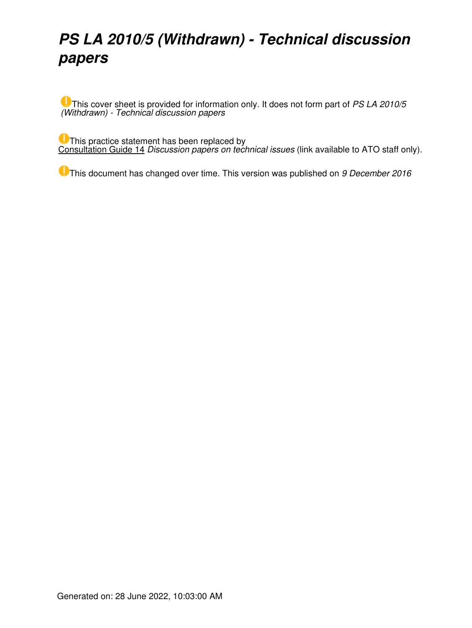# *PS LA 2010/5 (Withdrawn) - Technical discussion papers*

This cover sheet is provided for information only. It does not form part of *PS LA 2010/5 (Withdrawn) - Technical discussion papers*

This practice statement has been replaced by [Consultation Guide 14](http://sharepoint/GASites/ATOConsultationHub/Consultation%20Templates/Forms/AllItems.aspx?RootFolder=%2fGASites%2fATOConsultationHub%2fConsultation%20Templates%2fConsultation%20Guides) *Discussion papers on technical issues* (link available to ATO staff only).

This document has changed over time. This version was published on *9 December 2016*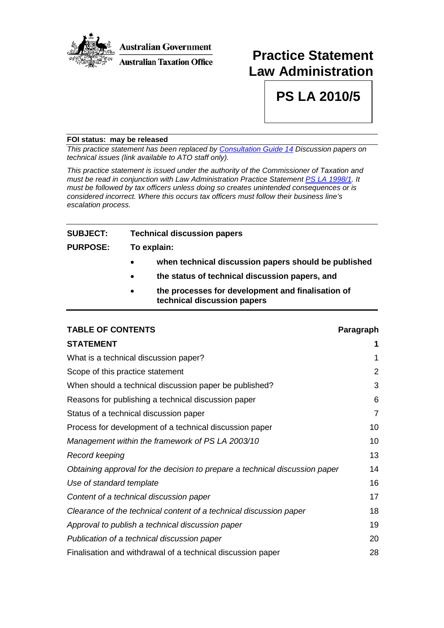

## **Practice Statement Law Administration**

**PS LA 2010/5**

#### **FOI status: may be released**

*This practice statement has been replaced by [Consultation Guide 14](http://sharepoint/GASites/ATOConsultationHub/Consultation%20Templates/Forms/AllItems.aspx?RootFolder=%2fGASites%2fATOConsultationHub%2fConsultation%20Templates%2fConsultation%20Guides&FolderCTID=0x012000D1975190CC3FE449A9703003BC535EB6) Discussion papers on technical issues (link available to ATO staff only).*

*This practice statement is issued under the authority of the Commissioner of Taxation and must be read in conjunction with Law Administration Practice Statement PS LA [1998/1.](http://ato.gov.au/law/view.htm?DocID=PSR/PS19981/NAT/ATO/00001) It must be followed by tax officers unless doing so creates unintended consequences or is considered incorrect. Where this occurs tax officers must follow their business line's escalation process.*

## **SUBJECT: Technical discussion papers**

#### **PURPOSE: To explain:**

- **when technical discussion papers should be published**
- **the status of technical discussion papers, and**
- **the processes for development and finalisation of technical discussion papers**

#### **TABLE OF CONTENTS Paragraph**

| <b>STATEMENT</b>                                                            | 1              |
|-----------------------------------------------------------------------------|----------------|
| What is a technical discussion paper?                                       | 1              |
| Scope of this practice statement                                            | 2              |
| When should a technical discussion paper be published?                      | 3              |
| Reasons for publishing a technical discussion paper                         | 6              |
| Status of a technical discussion paper                                      | $\overline{7}$ |
| Process for development of a technical discussion paper                     | 10             |
| Management within the framework of PS LA 2003/10                            | 10             |
| Record keeping                                                              | 13             |
| Obtaining approval for the decision to prepare a technical discussion paper | 14             |
| Use of standard template                                                    | 16             |
| Content of a technical discussion paper                                     | 17             |
| Clearance of the technical content of a technical discussion paper          | 18             |
| Approval to publish a technical discussion paper                            | 19             |
| Publication of a technical discussion paper                                 | 20             |
| Finalisation and withdrawal of a technical discussion paper                 | 28             |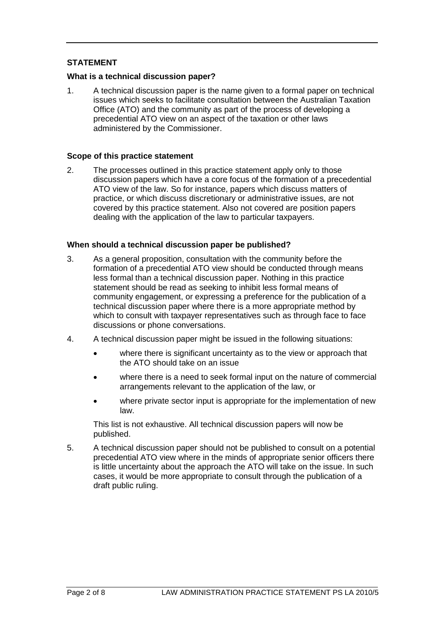#### **STATEMENT**

#### **What is a technical discussion paper?**

1. A technical discussion paper is the name given to a formal paper on technical issues which seeks to facilitate consultation between the Australian Taxation Office (ATO) and the community as part of the process of developing a precedential ATO view on an aspect of the taxation or other laws administered by the Commissioner.

#### **Scope of this practice statement**

2. The processes outlined in this practice statement apply only to those discussion papers which have a core focus of the formation of a precedential ATO view of the law. So for instance, papers which discuss matters of practice, or which discuss discretionary or administrative issues, are not covered by this practice statement. Also not covered are position papers dealing with the application of the law to particular taxpayers.

#### **When should a technical discussion paper be published?**

- 3. As a general proposition, consultation with the community before the formation of a precedential ATO view should be conducted through means less formal than a technical discussion paper. Nothing in this practice statement should be read as seeking to inhibit less formal means of community engagement, or expressing a preference for the publication of a technical discussion paper where there is a more appropriate method by which to consult with taxpayer representatives such as through face to face discussions or phone conversations.
- 4. A technical discussion paper might be issued in the following situations:
	- where there is significant uncertainty as to the view or approach that the ATO should take on an issue
	- where there is a need to seek formal input on the nature of commercial arrangements relevant to the application of the law, or
	- where private sector input is appropriate for the implementation of new law.

This list is not exhaustive. All technical discussion papers will now be published.

5. A technical discussion paper should not be published to consult on a potential precedential ATO view where in the minds of appropriate senior officers there is little uncertainty about the approach the ATO will take on the issue. In such cases, it would be more appropriate to consult through the publication of a draft public ruling.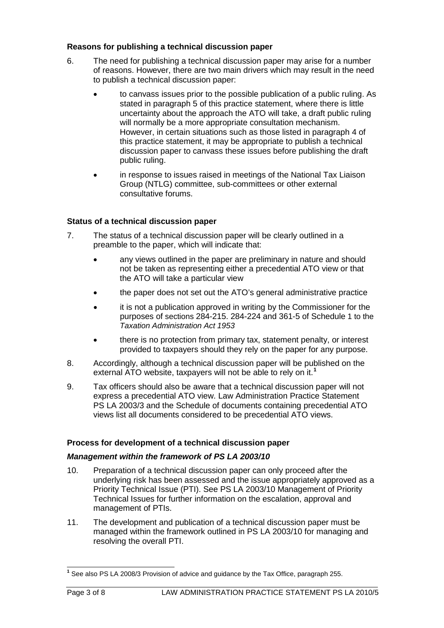#### **Reasons for publishing a technical discussion paper**

- 6. The need for publishing a technical discussion paper may arise for a number of reasons. However, there are two main drivers which may result in the need to publish a technical discussion paper:
	- to canvass issues prior to the possible publication of a public ruling. As stated in paragraph 5 of this practice statement, where there is little uncertainty about the approach the ATO will take, a draft public ruling will normally be a more appropriate consultation mechanism. However, in certain situations such as those listed in paragraph 4 of this practice statement, it may be appropriate to publish a technical discussion paper to canvass these issues before publishing the draft public ruling.
	- in response to issues raised in meetings of the National Tax Liaison Group (NTLG) committee, sub-committees or other external consultative forums.

#### **Status of a technical discussion paper**

- 7. The status of a technical discussion paper will be clearly outlined in a preamble to the paper, which will indicate that:
	- any views outlined in the paper are preliminary in nature and should not be taken as representing either a precedential ATO view or that the ATO will take a particular view
	- the paper does not set out the ATO's general administrative practice
	- it is not a publication approved in writing by the Commissioner for the purposes of sections 284-215. 284-224 and 361-5 of Schedule 1 to the *Taxation Administration Act 1953*
	- there is no protection from primary tax, statement penalty, or interest provided to taxpayers should they rely on the paper for any purpose.
- 8. Accordingly, although a technical discussion paper will be published on the external ATO website, taxpayers will not be able to rely on it. **[1](#page-3-0)**
- 9. Tax officers should also be aware that a technical discussion paper will not express a precedential ATO view. Law Administration Practice Statement PS LA 2003/3 and the Schedule of documents containing precedential ATO views list all documents considered to be precedential ATO views.

#### **Process for development of a technical discussion paper**

#### *Management within the framework of PS LA 2003/10*

- 10. Preparation of a technical discussion paper can only proceed after the underlying risk has been assessed and the issue appropriately approved as a Priority Technical Issue (PTI). See PS LA 2003/10 Management of Priority Technical Issues for further information on the escalation, approval and management of PTIs.
- 11. The development and publication of a technical discussion paper must be managed within the framework outlined in PS LA 2003/10 for managing and resolving the overall PTI.

<span id="page-3-0"></span>**<sup>1</sup>** See also PS LA 2008/3 Provision of advice and guidance by the Tax Office, paragraph 255.  $\overline{\phantom{a}}$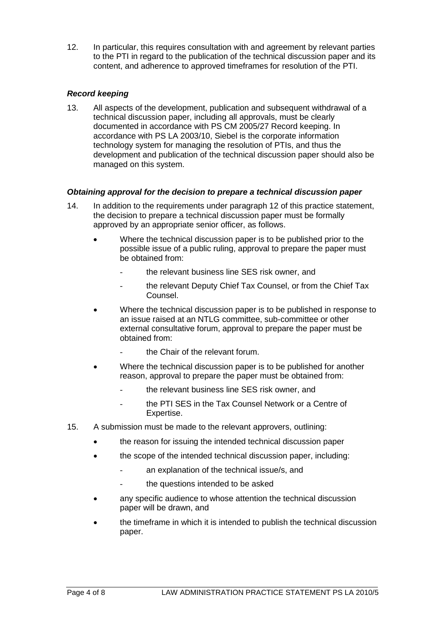12. In particular, this requires consultation with and agreement by relevant parties to the PTI in regard to the publication of the technical discussion paper and its content, and adherence to approved timeframes for resolution of the PTI.

### *Record keeping*

13. All aspects of the development, publication and subsequent withdrawal of a technical discussion paper, including all approvals, must be clearly documented in accordance with PS CM 2005/27 Record keeping. In accordance with PS LA 2003/10, Siebel is the corporate information technology system for managing the resolution of PTIs, and thus the development and publication of the technical discussion paper should also be managed on this system.

#### *Obtaining approval for the decision to prepare a technical discussion paper*

- 14. In addition to the requirements under paragraph 12 of this practice statement, the decision to prepare a technical discussion paper must be formally approved by an appropriate senior officer, as follows.
	- Where the technical discussion paper is to be published prior to the possible issue of a public ruling, approval to prepare the paper must be obtained from:
		- the relevant business line SES risk owner, and
		- the relevant Deputy Chief Tax Counsel, or from the Chief Tax Counsel.
	- Where the technical discussion paper is to be published in response to an issue raised at an NTLG committee, sub-committee or other external consultative forum, approval to prepare the paper must be obtained from:
		- the Chair of the relevant forum.
	- Where the technical discussion paper is to be published for another reason, approval to prepare the paper must be obtained from:
		- the relevant business line SES risk owner, and
		- the PTI SES in the Tax Counsel Network or a Centre of Expertise.
- 15. A submission must be made to the relevant approvers, outlining:
	- the reason for issuing the intended technical discussion paper
	- the scope of the intended technical discussion paper, including:
		- an explanation of the technical issue/s, and
		- the questions intended to be asked
	- any specific audience to whose attention the technical discussion paper will be drawn, and
	- the timeframe in which it is intended to publish the technical discussion paper.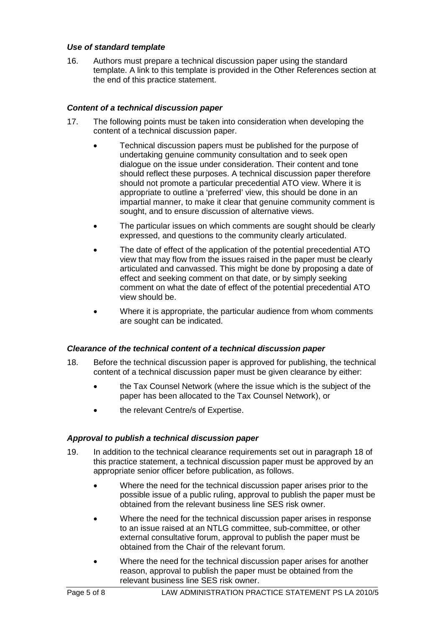#### *Use of standard template*

16. Authors must prepare a technical discussion paper using the standard template. A link to this template is provided in the Other References section at the end of this practice statement.

#### *Content of a technical discussion paper*

- 17. The following points must be taken into consideration when developing the content of a technical discussion paper.
	- Technical discussion papers must be published for the purpose of undertaking genuine community consultation and to seek open dialogue on the issue under consideration. Their content and tone should reflect these purposes. A technical discussion paper therefore should not promote a particular precedential ATO view. Where it is appropriate to outline a 'preferred' view, this should be done in an impartial manner, to make it clear that genuine community comment is sought, and to ensure discussion of alternative views.
	- The particular issues on which comments are sought should be clearly expressed, and questions to the community clearly articulated.
	- The date of effect of the application of the potential precedential ATO view that may flow from the issues raised in the paper must be clearly articulated and canvassed. This might be done by proposing a date of effect and seeking comment on that date, or by simply seeking comment on what the date of effect of the potential precedential ATO view should be.
	- Where it is appropriate, the particular audience from whom comments are sought can be indicated.

#### *Clearance of the technical content of a technical discussion paper*

- 18. Before the technical discussion paper is approved for publishing, the technical content of a technical discussion paper must be given clearance by either:
	- the Tax Counsel Network (where the issue which is the subject of the paper has been allocated to the Tax Counsel Network), or
	- the relevant Centre/s of Expertise.

#### *Approval to publish a technical discussion paper*

- 19. In addition to the technical clearance requirements set out in paragraph 18 of this practice statement, a technical discussion paper must be approved by an appropriate senior officer before publication, as follows.
	- Where the need for the technical discussion paper arises prior to the possible issue of a public ruling, approval to publish the paper must be obtained from the relevant business line SES risk owner.
	- Where the need for the technical discussion paper arises in response to an issue raised at an NTLG committee, sub-committee, or other external consultative forum, approval to publish the paper must be obtained from the Chair of the relevant forum.
	- Where the need for the technical discussion paper arises for another reason, approval to publish the paper must be obtained from the relevant business line SES risk owner.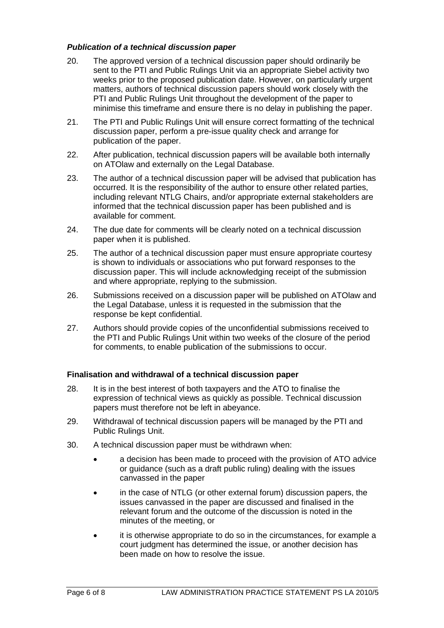#### *Publication of a technical discussion paper*

- 20. The approved version of a technical discussion paper should ordinarily be sent to the PTI and Public Rulings Unit via an appropriate Siebel activity two weeks prior to the proposed publication date. However, on particularly urgent matters, authors of technical discussion papers should work closely with the PTI and Public Rulings Unit throughout the development of the paper to minimise this timeframe and ensure there is no delay in publishing the paper.
- 21. The PTI and Public Rulings Unit will ensure correct formatting of the technical discussion paper, perform a pre-issue quality check and arrange for publication of the paper.
- 22. After publication, technical discussion papers will be available both internally on ATOlaw and externally on the Legal Database.
- 23. The author of a technical discussion paper will be advised that publication has occurred. It is the responsibility of the author to ensure other related parties, including relevant NTLG Chairs, and/or appropriate external stakeholders are informed that the technical discussion paper has been published and is available for comment.
- 24. The due date for comments will be clearly noted on a technical discussion paper when it is published.
- 25. The author of a technical discussion paper must ensure appropriate courtesy is shown to individuals or associations who put forward responses to the discussion paper. This will include acknowledging receipt of the submission and where appropriate, replying to the submission.
- 26. Submissions received on a discussion paper will be published on ATOlaw and the Legal Database, unless it is requested in the submission that the response be kept confidential.
- 27. Authors should provide copies of the unconfidential submissions received to the PTI and Public Rulings Unit within two weeks of the closure of the period for comments, to enable publication of the submissions to occur.

#### **Finalisation and withdrawal of a technical discussion paper**

- 28. It is in the best interest of both taxpayers and the ATO to finalise the expression of technical views as quickly as possible. Technical discussion papers must therefore not be left in abeyance.
- 29. Withdrawal of technical discussion papers will be managed by the PTI and Public Rulings Unit.
- 30. A technical discussion paper must be withdrawn when:
	- a decision has been made to proceed with the provision of ATO advice or guidance (such as a draft public ruling) dealing with the issues canvassed in the paper
	- in the case of NTLG (or other external forum) discussion papers, the issues canvassed in the paper are discussed and finalised in the relevant forum and the outcome of the discussion is noted in the minutes of the meeting, or
	- it is otherwise appropriate to do so in the circumstances, for example a court judgment has determined the issue, or another decision has been made on how to resolve the issue.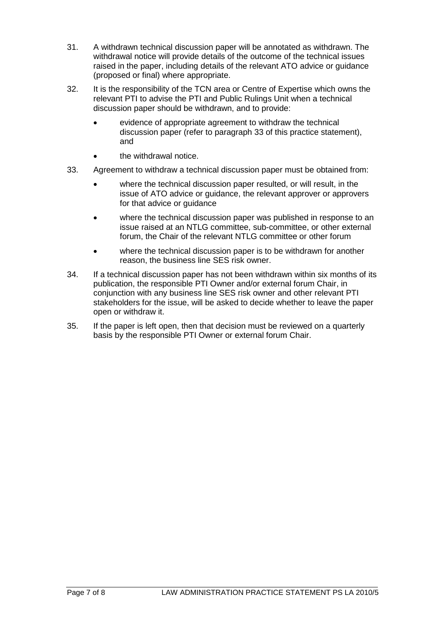- 31. A withdrawn technical discussion paper will be annotated as withdrawn. The withdrawal notice will provide details of the outcome of the technical issues raised in the paper, including details of the relevant ATO advice or guidance (proposed or final) where appropriate.
- 32. It is the responsibility of the TCN area or Centre of Expertise which owns the relevant PTI to advise the PTI and Public Rulings Unit when a technical discussion paper should be withdrawn, and to provide:
	- evidence of appropriate agreement to withdraw the technical discussion paper (refer to paragraph 33 of this practice statement), and
	- the withdrawal notice.
- 33. Agreement to withdraw a technical discussion paper must be obtained from:
	- where the technical discussion paper resulted, or will result, in the issue of ATO advice or guidance, the relevant approver or approvers for that advice or guidance
	- where the technical discussion paper was published in response to an issue raised at an NTLG committee, sub-committee, or other external forum, the Chair of the relevant NTLG committee or other forum
	- where the technical discussion paper is to be withdrawn for another reason, the business line SES risk owner.
- 34. If a technical discussion paper has not been withdrawn within six months of its publication, the responsible PTI Owner and/or external forum Chair, in conjunction with any business line SES risk owner and other relevant PTI stakeholders for the issue, will be asked to decide whether to leave the paper open or withdraw it.
- 35. If the paper is left open, then that decision must be reviewed on a quarterly basis by the responsible PTI Owner or external forum Chair.